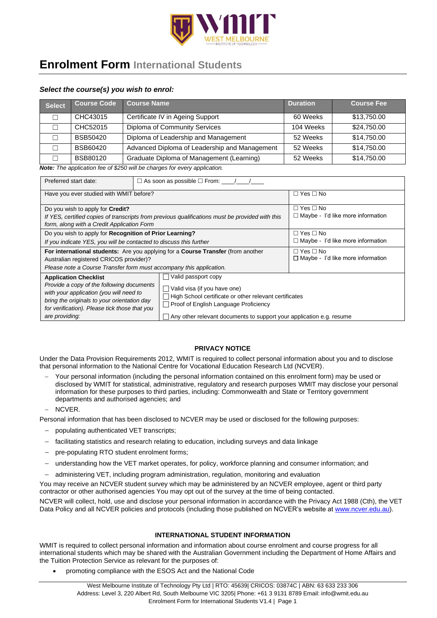

# **Enrolment Form International Students**

# *Select the course(s) you wish to enrol:*

| Select | Course Code     | <b>Course Name</b>                                                                                                          | <b>Duration</b> | <b>Course Fee</b> |
|--------|-----------------|-----------------------------------------------------------------------------------------------------------------------------|-----------------|-------------------|
| г      | CHC43015        | Certificate IV in Ageing Support                                                                                            | 60 Weeks        | \$13,750.00       |
|        | CHC52015        | Diploma of Community Services                                                                                               | 104 Weeks       | \$24,750.00       |
| Г      | <b>BSB50420</b> | Diploma of Leadership and Management                                                                                        | 52 Weeks        | \$14.750.00       |
| Г      | BSB60420        | Advanced Diploma of Leadership and Management                                                                               | 52 Weeks        | \$14,750.00       |
|        | <b>BSB80120</b> | Graduate Diploma of Management (Learning)                                                                                   | 52 Weeks        | \$14,750.00       |
|        |                 | $M - \epsilon$ . The condition of $\epsilon$ is the conditional operation of $\epsilon$ is a second condition of $\epsilon$ |                 |                   |

*Note: The application fee of \$250 will be charges for every application.* 

| Preferred start date:                                                                                                                                                                                                                  |                                                                                                                                                         |                                                                  |  |  |  |  |  |  |
|----------------------------------------------------------------------------------------------------------------------------------------------------------------------------------------------------------------------------------------|---------------------------------------------------------------------------------------------------------------------------------------------------------|------------------------------------------------------------------|--|--|--|--|--|--|
| Have you ever studied with WMIT before?                                                                                                                                                                                                | $\Box$ Yes $\Box$ No                                                                                                                                    |                                                                  |  |  |  |  |  |  |
| Do you wish to apply for <b>Credit?</b><br>If YES, certified copies of transcripts from previous qualifications must be provided with this<br>form, along with a Credit Application Form                                               | $\Box$ Yes $\Box$ No<br>$\Box$ Maybe - I'd like more information                                                                                        |                                                                  |  |  |  |  |  |  |
| Do you wish to apply for Recognition of Prior Learning?<br>If you indicate YES, you will be contacted to discuss this further                                                                                                          | $\Box$ Yes $\Box$ No<br>$\Box$ Maybe - I'd like more information                                                                                        |                                                                  |  |  |  |  |  |  |
| Australian registered CRICOS provider)?                                                                                                                                                                                                | For international students: Are you applying for a Course Transfer (from another<br>Please note a Course Transfer form must accompany this application. | $\Box$ Yes $\Box$ No<br>$\Box$ Maybe - I'd like more information |  |  |  |  |  |  |
| <b>Application Checklist</b><br>Provide a copy of the following documents<br>with your application (you will need to<br>bring the originals to your orientation day<br>for verification). Please tick those that you<br>are providing: | High School certificate or other relevant certificates<br>Any other relevant documents to support your application e.g. resume                          |                                                                  |  |  |  |  |  |  |

# **PRIVACY NOTICE**

Under the Data Provision Requirements 2012, WMIT is required to collect personal information about you and to disclose that personal information to the National Centre for Vocational Education Research Ltd (NCVER).

- − Your personal information (including the personal information contained on this enrolment form) may be used or disclosed by WMIT for statistical, administrative, regulatory and research purposes WMIT may disclose your personal information for these purposes to third parties, including: Commonwealth and State or Territory government departments and authorised agencies; and
- − NCVER.

Personal information that has been disclosed to NCVER may be used or disclosed for the following purposes:

- − populating authenticated VET transcripts;
- facilitating statistics and research relating to education, including surveys and data linkage
- pre-populating RTO student enrolment forms;
- understanding how the VET market operates, for policy, workforce planning and consumer information; and
- administering VET, including program administration, regulation, monitoring and evaluation

You may receive an NCVER student survey which may be administered by an NCVER employee, agent or third party contractor or other authorised agencies You may opt out of the survey at the time of being contacted.

NCVER will collect, hold, use and disclose your personal information in accordance with the Privacy Act 1988 (Cth), the VET Data Policy and all NCVER policies and protocols (including those published on NCVER's website a[t www.ncver.edu.au\)](http://www.ncver.edu.au/).

# **INTERNATIONAL STUDENT INFORMATION**

WMIT is required to collect personal information and information about course enrolment and course progress for all international students which may be shared with the Australian Government including the Department of Home Affairs and the Tuition Protection Service as relevant for the purposes of:

• promoting compliance with the ESOS Act and the National Code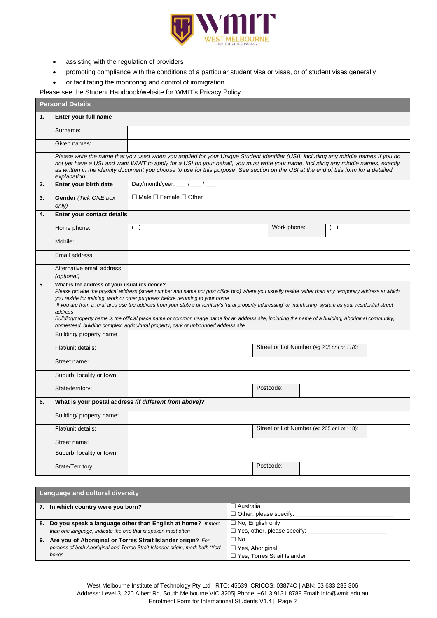

- assisting with the regulation of providers
- promoting compliance with the conditions of a particular student visa or visas, or of student visas generally
- or facilitating the monitoring and control of immigration.

Please see the Student Handbook/website for WMIT's Privacy Policy

|    | <b>Personal Details</b>                                                                                                                                                                                                                                                                                                                                                                                                                                                                                                                                                                                                                                                                                           |                                                        |           |                                           |     |  |  |  |  |
|----|-------------------------------------------------------------------------------------------------------------------------------------------------------------------------------------------------------------------------------------------------------------------------------------------------------------------------------------------------------------------------------------------------------------------------------------------------------------------------------------------------------------------------------------------------------------------------------------------------------------------------------------------------------------------------------------------------------------------|--------------------------------------------------------|-----------|-------------------------------------------|-----|--|--|--|--|
| 1. | Enter your full name                                                                                                                                                                                                                                                                                                                                                                                                                                                                                                                                                                                                                                                                                              |                                                        |           |                                           |     |  |  |  |  |
|    | Surname:                                                                                                                                                                                                                                                                                                                                                                                                                                                                                                                                                                                                                                                                                                          |                                                        |           |                                           |     |  |  |  |  |
|    | Given names:                                                                                                                                                                                                                                                                                                                                                                                                                                                                                                                                                                                                                                                                                                      |                                                        |           |                                           |     |  |  |  |  |
|    | Please write the name that you used when you applied for your Unique Student Identifier (USI), including any middle names If you do<br>not yet have a USI and want WMIT to apply for a USI on your behalf, you must write your name, including any middle names, exactly<br>as written in the identity document you choose to use for this purpose See section on the USI at the end of this form for a detailed<br>explanation.                                                                                                                                                                                                                                                                                  |                                                        |           |                                           |     |  |  |  |  |
| 2. | Enter your birth date                                                                                                                                                                                                                                                                                                                                                                                                                                                                                                                                                                                                                                                                                             | Day/month/year: $\frac{1}{\sqrt{2}}$                   |           |                                           |     |  |  |  |  |
| 3. | Gender (Tick ONE box<br>only)                                                                                                                                                                                                                                                                                                                                                                                                                                                                                                                                                                                                                                                                                     | $\Box$ Male $\Box$ Female $\Box$ Other                 |           |                                           |     |  |  |  |  |
| 4. | Enter your contact details                                                                                                                                                                                                                                                                                                                                                                                                                                                                                                                                                                                                                                                                                        |                                                        |           |                                           |     |  |  |  |  |
|    | Home phone:                                                                                                                                                                                                                                                                                                                                                                                                                                                                                                                                                                                                                                                                                                       | ( )                                                    |           | Work phone:                               | ( ) |  |  |  |  |
|    | Mobile:                                                                                                                                                                                                                                                                                                                                                                                                                                                                                                                                                                                                                                                                                                           |                                                        |           |                                           |     |  |  |  |  |
|    | Email address:                                                                                                                                                                                                                                                                                                                                                                                                                                                                                                                                                                                                                                                                                                    |                                                        |           |                                           |     |  |  |  |  |
|    | Alternative email address<br>(optional)                                                                                                                                                                                                                                                                                                                                                                                                                                                                                                                                                                                                                                                                           |                                                        |           |                                           |     |  |  |  |  |
|    | What is the address of your usual residence?<br>5.<br>Please provide the physical address (street number and name not post office box) where you usually reside rather than any temporary address at which<br>you reside for training, work or other purposes before returning to your home<br>If you are from a rural area use the address from your state's or territory's 'rural property addressing' or 'numbering' system as your residential street<br>address<br>Building/property name is the official place name or common usage name for an address site, including the name of a building, Aboriginal community,<br>homestead, building complex, agricultural property, park or unbounded address site |                                                        |           |                                           |     |  |  |  |  |
|    | Building/ property name                                                                                                                                                                                                                                                                                                                                                                                                                                                                                                                                                                                                                                                                                           |                                                        |           |                                           |     |  |  |  |  |
|    | Flat/unit details:                                                                                                                                                                                                                                                                                                                                                                                                                                                                                                                                                                                                                                                                                                |                                                        |           | Street or Lot Number (eg 205 or Lot 118): |     |  |  |  |  |
|    | Street name:                                                                                                                                                                                                                                                                                                                                                                                                                                                                                                                                                                                                                                                                                                      |                                                        |           |                                           |     |  |  |  |  |
|    | Suburb, locality or town:                                                                                                                                                                                                                                                                                                                                                                                                                                                                                                                                                                                                                                                                                         |                                                        |           |                                           |     |  |  |  |  |
|    | State/territory:                                                                                                                                                                                                                                                                                                                                                                                                                                                                                                                                                                                                                                                                                                  |                                                        | Postcode: |                                           |     |  |  |  |  |
| 6. |                                                                                                                                                                                                                                                                                                                                                                                                                                                                                                                                                                                                                                                                                                                   | What is your postal address (if different from above)? |           |                                           |     |  |  |  |  |
|    | Building/ property name:                                                                                                                                                                                                                                                                                                                                                                                                                                                                                                                                                                                                                                                                                          |                                                        |           |                                           |     |  |  |  |  |
|    | Flat/unit details:                                                                                                                                                                                                                                                                                                                                                                                                                                                                                                                                                                                                                                                                                                |                                                        |           | Street or Lot Number (eg 205 or Lot 118): |     |  |  |  |  |
|    | Street name:                                                                                                                                                                                                                                                                                                                                                                                                                                                                                                                                                                                                                                                                                                      |                                                        |           |                                           |     |  |  |  |  |
|    | Suburb, locality or town:                                                                                                                                                                                                                                                                                                                                                                                                                                                                                                                                                                                                                                                                                         |                                                        |           |                                           |     |  |  |  |  |
|    | State/Territory:                                                                                                                                                                                                                                                                                                                                                                                                                                                                                                                                                                                                                                                                                                  |                                                        | Postcode: |                                           |     |  |  |  |  |

| <b>Language and cultural diversity</b>                                        |                                    |  |  |  |  |  |
|-------------------------------------------------------------------------------|------------------------------------|--|--|--|--|--|
| 7. In which country were you born?                                            | $\Box$ Australia                   |  |  |  |  |  |
|                                                                               | $\Box$ Other, please specify:      |  |  |  |  |  |
| 8. Do you speak a language other than English at home? If more                | $\Box$ No, English only            |  |  |  |  |  |
| than one language, indicate the one that is spoken most often                 | $\Box$ Yes, other, please specify: |  |  |  |  |  |
| 9. Are you of Aboriginal or Torres Strait Islander origin? For                | $\Box$ No                          |  |  |  |  |  |
| persons of both Aboriginal and Torres Strait Islander origin, mark both 'Yes' | $\Box$ Yes, Aboriginal             |  |  |  |  |  |
| boxes                                                                         | □ Yes, Torres Strait Islander      |  |  |  |  |  |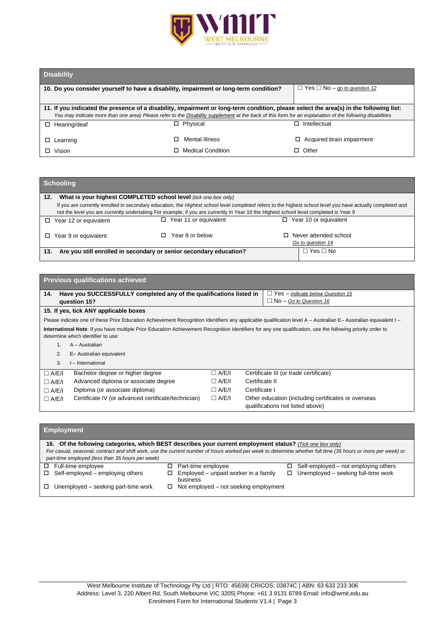

# **Disability**

| _________                                                                                                                              |                                                                                                                                                          |                           |  |  |  |  |  |  |
|----------------------------------------------------------------------------------------------------------------------------------------|----------------------------------------------------------------------------------------------------------------------------------------------------------|---------------------------|--|--|--|--|--|--|
| 10. Do you consider yourself to have a disability, impairment or long-term condition?                                                  | $\Box$ Yes $\Box$ No – go to question 12                                                                                                                 |                           |  |  |  |  |  |  |
|                                                                                                                                        |                                                                                                                                                          |                           |  |  |  |  |  |  |
| 11. If you indicated the presence of a disability, impairment or long-term condition, please select the area(s) in the following list: |                                                                                                                                                          |                           |  |  |  |  |  |  |
|                                                                                                                                        | You may indicate more than one area) Please refer to the Disability supplement at the back of this form for an explanation of the following disabilities |                           |  |  |  |  |  |  |
| Hearing/deaf<br>п.                                                                                                                     | Physical<br>п                                                                                                                                            | Intellectual              |  |  |  |  |  |  |
|                                                                                                                                        |                                                                                                                                                          |                           |  |  |  |  |  |  |
| $\Box$ Learning                                                                                                                        | Mental Illness                                                                                                                                           | Acquired brain impairment |  |  |  |  |  |  |
| ロ Vision                                                                                                                               | <b>Medical Condition</b>                                                                                                                                 | Other                     |  |  |  |  |  |  |

# **Schooling**

| What is your highest COMPLETED school level (tick one box only)<br>12.                                                                                                                                                                                                                               |                                                                    |                                                   |  |  |  |  |  |
|------------------------------------------------------------------------------------------------------------------------------------------------------------------------------------------------------------------------------------------------------------------------------------------------------|--------------------------------------------------------------------|---------------------------------------------------|--|--|--|--|--|
| If you are currently enrolled in secondary education, the Highest school level completed refers to the highest school level you have actually completed and<br>not the level you are currently undertaking For example, if you are currently in Year 10 the Highest school level completed is Year 9 |                                                                    |                                                   |  |  |  |  |  |
| $\Box$ Year 12 or equivalent                                                                                                                                                                                                                                                                         | $\Box$ Year 11 or equivalent                                       | $\Box$ Year 10 or equivalent                      |  |  |  |  |  |
| $\Box$ Year 9 or equivalent                                                                                                                                                                                                                                                                          | Year 8 or below                                                    | $\Box$ Never attended school<br>Go to question 14 |  |  |  |  |  |
| 13.                                                                                                                                                                                                                                                                                                  | Are you still enrolled in secondary or senior secondary education? | $\Box$ Yes $\Box$ No                              |  |  |  |  |  |

| <b>Previous qualifications achieved</b> |                                                                                                                                                                                                   |                                         |                |                                                                                         |  |  |  |
|-----------------------------------------|---------------------------------------------------------------------------------------------------------------------------------------------------------------------------------------------------|-----------------------------------------|----------------|-----------------------------------------------------------------------------------------|--|--|--|
| 14.                                     | Have you SUCCESSFULLY completed any of the qualifications listed in                                                                                                                               | $\Box$ Yes – indicate below Question 15 |                |                                                                                         |  |  |  |
|                                         | question 15?                                                                                                                                                                                      | $\Box$ No – Go to Question 16           |                |                                                                                         |  |  |  |
|                                         | 15. If yes, tick ANY applicable boxes                                                                                                                                                             |                                         |                |                                                                                         |  |  |  |
|                                         | Please indicate one of these Prior Education Achievement Recognition Identifiers any applicable qualification level A - Australian E- Australian equivalent I -                                   |                                         |                |                                                                                         |  |  |  |
|                                         | International Note: If you have multiple Prior Education Achievement Recognition Identifiers for any one qualification, use the following priority order to<br>determine which identifier to use: |                                         |                |                                                                                         |  |  |  |
|                                         | A – Australian                                                                                                                                                                                    |                                         |                |                                                                                         |  |  |  |
| 2.                                      | E- Australian equivalent                                                                                                                                                                          |                                         |                |                                                                                         |  |  |  |
| 3.                                      | I - International                                                                                                                                                                                 |                                         |                |                                                                                         |  |  |  |
| $\Box$ A/E/I                            | Bachelor degree or higher degree                                                                                                                                                                  | $\Box$ A/E/I                            |                | Certificate III (or trade certificate)                                                  |  |  |  |
| $\Box$ A/E/I                            | Advanced diploma or associate degree                                                                                                                                                              | $\Box$ A/E/I                            | Certificate II |                                                                                         |  |  |  |
| $\Box$ A/E/I                            | Diploma (or associate diploma)                                                                                                                                                                    | $\Box$ A/E/I                            | Certificate I  |                                                                                         |  |  |  |
| $\Box$ A/E/I                            | Certificate IV (or advanced certificate/technician)                                                                                                                                               | $\Box$ A/E/I                            |                | Other education (including certificates or overseas<br>qualifications not listed above) |  |  |  |

| <b>Employment</b> |                                                                                                                                                                                                                  |   |                                                  |   |                                      |  |  |  |  |  |
|-------------------|------------------------------------------------------------------------------------------------------------------------------------------------------------------------------------------------------------------|---|--------------------------------------------------|---|--------------------------------------|--|--|--|--|--|
|                   | 16. Of the following categories, which BEST describes your current employment status? (Tick one box only)                                                                                                        |   |                                                  |   |                                      |  |  |  |  |  |
|                   | For casual, seasonal, contract and shift work, use the current number of hours worked per week to determine whether full time (35 hours or more per week) or<br>part-time employed (less than 35 hours per week) |   |                                                  |   |                                      |  |  |  |  |  |
| $\Box$            | Full-time employee                                                                                                                                                                                               |   | Part-time employee                               | □ | Self-employed – not employing others |  |  |  |  |  |
| П.                | Self-employed – employing others                                                                                                                                                                                 | ◻ | Employed - unpaid worker in a family<br>business | □ | Unemployed - seeking full-time work  |  |  |  |  |  |
| □                 | Unemployed – seeking part-time work                                                                                                                                                                              | ◻ | Not employed – not seeking employment            |   |                                      |  |  |  |  |  |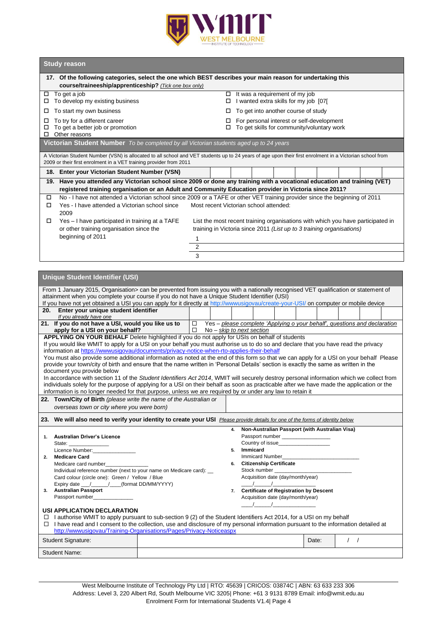

# **Study reason**

| 17. Of the following categories, select the one which BEST describes your main reason for undertaking this                                                                                                                     |                                                                                                                                                                                                                                    |                                        |  |                                |  |                                       |  |  |  |
|--------------------------------------------------------------------------------------------------------------------------------------------------------------------------------------------------------------------------------|------------------------------------------------------------------------------------------------------------------------------------------------------------------------------------------------------------------------------------|----------------------------------------|--|--------------------------------|--|---------------------------------------|--|--|--|
| course/traineeship/apprenticeship? (Tick one box only)<br>To get a job<br>□<br>To develop my existing business<br>□                                                                                                            |                                                                                                                                                                                                                                    | □<br>п                                 |  | It was a requirement of my job |  | I wanted extra skills for my job [07] |  |  |  |
| To start my own business<br>□                                                                                                                                                                                                  | To get into another course of study<br>□                                                                                                                                                                                           |                                        |  |                                |  |                                       |  |  |  |
| To try for a different career<br>For personal interest or self-development<br>□<br>To get a better job or promotion<br>To get skills for community/voluntary work<br>□<br>п<br>Other reasons<br>□                              |                                                                                                                                                                                                                                    |                                        |  |                                |  |                                       |  |  |  |
| <b>Victorian Student Number</b> To be completed by all Victorian students aged up to 24 years                                                                                                                                  |                                                                                                                                                                                                                                    |                                        |  |                                |  |                                       |  |  |  |
| A Victorian Student Number (VSN) is allocated to all school and VET students up to 24 years of age upon their first enrolment in a Victorian school from<br>2009 or their first enrolment in a VET training provider from 2011 |                                                                                                                                                                                                                                    |                                        |  |                                |  |                                       |  |  |  |
| 18. Enter your Victorian Student Number (VSN)                                                                                                                                                                                  |                                                                                                                                                                                                                                    |                                        |  |                                |  |                                       |  |  |  |
|                                                                                                                                                                                                                                | 19. Have you attended any Victorian school since 2009 or done any training with a vocational education and training (VET)<br>registered training organisation or an Adult and Community Education provider in Victoria since 2011? |                                        |  |                                |  |                                       |  |  |  |
| No - I have not attended a Victorian school since 2009 or a TAFE or other VET training provider since the beginning of 2011<br>□<br>Yes - I have attended a Victorian school since<br>□<br>2009                                |                                                                                                                                                                                                                                    | Most recent Victorian school attended: |  |                                |  |                                       |  |  |  |
| Yes - I have participated in training at a TAFE<br>□<br>or other training organisation since the<br>beginning of 2011                                                                                                          | List the most recent training organisations with which you have participated in<br>training in Victoria since 2011 (List up to 3 training organisations)                                                                           |                                        |  |                                |  |                                       |  |  |  |
|                                                                                                                                                                                                                                | 1<br>2                                                                                                                                                                                                                             |                                        |  |                                |  |                                       |  |  |  |
|                                                                                                                                                                                                                                | 3                                                                                                                                                                                                                                  |                                        |  |                                |  |                                       |  |  |  |
|                                                                                                                                                                                                                                |                                                                                                                                                                                                                                    |                                        |  |                                |  |                                       |  |  |  |
| <b>Unique Student Identifier (USI)</b>                                                                                                                                                                                         |                                                                                                                                                                                                                                    |                                        |  |                                |  |                                       |  |  |  |

| From 1 January 2015, Organisation> can be prevented from issuing you with a nationally recognised VET qualification or statement of       |  |  |                |                                                   |  |       |  |                  |  |  |
|-------------------------------------------------------------------------------------------------------------------------------------------|--|--|----------------|---------------------------------------------------|--|-------|--|------------------|--|--|
| attainment when you complete your course if you do not have a Unique Student Identifier (USI)                                             |  |  |                |                                                   |  |       |  |                  |  |  |
| If you have not yet obtained a USI you can apply for it directly at http://wwwusigovau/create-your-USI/ on computer or mobile device      |  |  |                |                                                   |  |       |  |                  |  |  |
| 20. Enter your unique student identifier                                                                                                  |  |  |                |                                                   |  |       |  |                  |  |  |
| If you already have one                                                                                                                   |  |  |                |                                                   |  |       |  |                  |  |  |
| 21. If you do not have a USI, would you like us to $\Box$ Yes – please complete 'Applying o your behalf', questions and declaration       |  |  |                |                                                   |  |       |  |                  |  |  |
| $\Box$ No - skip to next section<br>apply for a USI on your behalf?                                                                       |  |  |                |                                                   |  |       |  |                  |  |  |
| <b>APPLYING ON YOUR BEHALF</b> Delete highlighted if you do not apply for USIs on behalf of students                                      |  |  |                |                                                   |  |       |  |                  |  |  |
| If you would like WMIT to apply for a USI on your behalf you must authorise us to do so and declare that you have read the privacy        |  |  |                |                                                   |  |       |  |                  |  |  |
| information at https://www.usigovau/documents/privacy-notice-when-rto-applies-their-behalf                                                |  |  |                |                                                   |  |       |  |                  |  |  |
| You must also provide some additional information as noted at the end of this form so that we can apply for a USI on your behalf Please   |  |  |                |                                                   |  |       |  |                  |  |  |
| provide your town/city of birth and ensure that the name written in 'Personal Details' section is exactly the same as written in the      |  |  |                |                                                   |  |       |  |                  |  |  |
| document you provide below                                                                                                                |  |  |                |                                                   |  |       |  |                  |  |  |
| In accordance with section 11 of the Student Identifiers Act 2014, WMIT will securely destroy personal information which we collect from  |  |  |                |                                                   |  |       |  |                  |  |  |
| individuals solely for the purpose of applying for a USI on their behalf as soon as practicable after we have made the application or the |  |  |                |                                                   |  |       |  |                  |  |  |
| information is no longer needed for that purpose, unless we are required by or under any law to retain it                                 |  |  |                |                                                   |  |       |  |                  |  |  |
| 22. Town/City of Birth (please write the name of the Australian or                                                                        |  |  |                |                                                   |  |       |  |                  |  |  |
| overseas town or city where you were born)                                                                                                |  |  |                |                                                   |  |       |  |                  |  |  |
|                                                                                                                                           |  |  |                |                                                   |  |       |  |                  |  |  |
| 23. We will also need to verify your identity to create your USI Please provide details for one of the forms of identity below            |  |  |                |                                                   |  |       |  |                  |  |  |
|                                                                                                                                           |  |  |                |                                                   |  |       |  |                  |  |  |
|                                                                                                                                           |  |  |                |                                                   |  |       |  |                  |  |  |
|                                                                                                                                           |  |  |                | 4. Non-Australian Passport (with Australian Visa) |  |       |  |                  |  |  |
| 1. Australian Driver's Licence                                                                                                            |  |  |                | Passport number                                   |  |       |  |                  |  |  |
| State: ________________                                                                                                                   |  |  |                | Country of issue                                  |  |       |  |                  |  |  |
| Licence Number: No. 2006                                                                                                                  |  |  | Immicard<br>5. |                                                   |  |       |  |                  |  |  |
| 2. Medicare Card                                                                                                                          |  |  |                | Immicard Number                                   |  |       |  |                  |  |  |
| Medicare card number_____________                                                                                                         |  |  | 6.             | <b>Citizenship Certificate</b>                    |  |       |  |                  |  |  |
| Individual reference number (next to your name on Medicare card): __                                                                      |  |  |                | Stock number                                      |  |       |  |                  |  |  |
| Card colour (circle one): Green / Yellow / Blue                                                                                           |  |  |                | Acquisition date (day/month/year)                 |  |       |  |                  |  |  |
| Expiry date __/_____/___(format DD/MM/YYYY)                                                                                               |  |  |                | $\frac{1}{2}$ $\frac{1}{2}$                       |  |       |  |                  |  |  |
| 3. Australian Passport                                                                                                                    |  |  |                | 7. Certificate of Registration by Descent         |  |       |  |                  |  |  |
| Passport number______________                                                                                                             |  |  |                | Acquisition date (day/month/year)                 |  |       |  |                  |  |  |
|                                                                                                                                           |  |  |                | $\sqrt{2}$                                        |  |       |  |                  |  |  |
| <b>USI APPLICATION DECLARATION</b>                                                                                                        |  |  |                |                                                   |  |       |  |                  |  |  |
| $\Box$ I authorise WMIT to apply pursuant to sub-section 9 (2) of the Student Identifiers Act 2014, for a USI on my behalf                |  |  |                |                                                   |  |       |  |                  |  |  |
| $\Box$ I have read and I consent to the collection, use and disclosure of my personal information pursuant to the information detailed at |  |  |                |                                                   |  |       |  |                  |  |  |
| http://wwwusigovau/Training-Organisations/Pages/Privacy-Noticeaspx                                                                        |  |  |                |                                                   |  |       |  |                  |  |  |
| <b>Student Signature:</b>                                                                                                                 |  |  |                |                                                   |  | Date: |  | $\left  \right $ |  |  |
| Student Name:                                                                                                                             |  |  |                |                                                   |  |       |  |                  |  |  |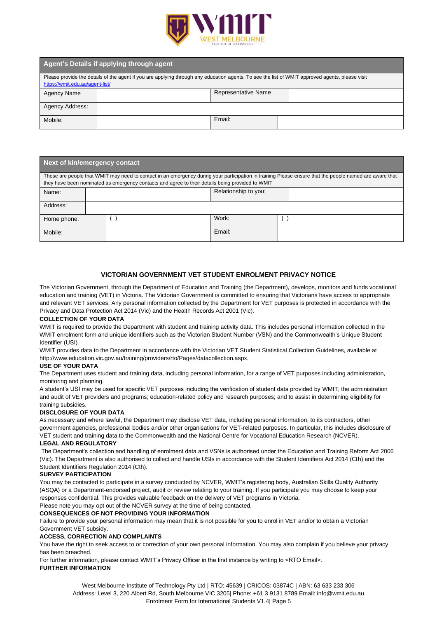

| Agent's Details if applying through agent                                                                                                                                          |  |                            |  |  |  |  |  |  |
|------------------------------------------------------------------------------------------------------------------------------------------------------------------------------------|--|----------------------------|--|--|--|--|--|--|
| Please provide the details of the agent if you are applying through any education agents. To see the list of WMIT approved agents, please visit<br>https://wmit.edu.au/agent-list/ |  |                            |  |  |  |  |  |  |
| Agency Name                                                                                                                                                                        |  | <b>Representative Name</b> |  |  |  |  |  |  |
| Agency Address:                                                                                                                                                                    |  |                            |  |  |  |  |  |  |
| Mobile:                                                                                                                                                                            |  | Email:                     |  |  |  |  |  |  |

| Next of kin/emergency contact                                                                                                                                                                                                                               |  |  |                      |        |  |  |  |  |
|-------------------------------------------------------------------------------------------------------------------------------------------------------------------------------------------------------------------------------------------------------------|--|--|----------------------|--------|--|--|--|--|
| These are people that WMIT may need to contact in an emergency during your participation in training Please ensure that the people named are aware that<br>they have been nominated as emergency contacts and agree to their details being provided to WMIT |  |  |                      |        |  |  |  |  |
| Name:                                                                                                                                                                                                                                                       |  |  | Relationship to you: |        |  |  |  |  |
| Address:                                                                                                                                                                                                                                                    |  |  |                      |        |  |  |  |  |
| Home phone:                                                                                                                                                                                                                                                 |  |  |                      | Work:  |  |  |  |  |
| Mobile:                                                                                                                                                                                                                                                     |  |  |                      | Email: |  |  |  |  |

# **VICTORIAN GOVERNMENT VET STUDENT ENROLMENT PRIVACY NOTICE**

The Victorian Government, through the Department of Education and Training (the Department), develops, monitors and funds vocational education and training (VET) in Victoria. The Victorian Government is committed to ensuring that Victorians have access to appropriate and relevant VET services. Any personal information collected by the Department for VET purposes is protected in accordance with the Privacy and Data Protection Act 2014 (Vic) and the Health Records Act 2001 (Vic).

#### **COLLECTION OF YOUR DATA**

WMIT is required to provide the Department with student and training activity data. This includes personal information collected in the WMIT enrolment form and unique identifiers such as the Victorian Student Number (VSN) and the Commonwealth's Unique Student Identifier (USI).

WMIT provides data to the Department in accordance with the Victorian VET Student Statistical Collection Guidelines, available at http://www.education.vic.gov.au/training/providers/rto/Pages/datacollection.aspx.

#### **USE OF YOUR DATA**

The Department uses student and training data, including personal information, for a range of VET purposes including administration, monitoring and planning.

A student's USI may be used for specific VET purposes including the verification of student data provided by WMIT; the administration and audit of VET providers and programs; education-related policy and research purposes; and to assist in determining eligibility for training subsidies.

# **DISCLOSURE OF YOUR DATA**

As necessary and where lawful, the Department may disclose VET data, including personal information, to its contractors, other government agencies, professional bodies and/or other organisations for VET-related purposes. In particular, this includes disclosure of VET student and training data to the Commonwealth and the National Centre for Vocational Education Research (NCVER).

# **LEGAL AND REGULATORY**

The Department's collection and handling of enrolment data and VSNs is authorised under the Education and Training Reform Act 2006 (Vic). The Department is also authorised to collect and handle USIs in accordance with the Student Identifiers Act 2014 (Cth) and the Student Identifiers Regulation 2014 (Cth).

#### **SURVEY PARTICIPATION**

You may be contacted to participate in a survey conducted by NCVER, WMIT's registering body, Australian Skills Quality Authority (ASQA) or a Department-endorsed project, audit or review relating to your training. If you participate you may choose to keep your responses confidential. This provides valuable feedback on the delivery of VET programs in Victoria.

Please note you may opt out of the NCVER survey at the time of being contacted.

#### **CONSEQUENCES OF NOT PROVIDING YOUR INFORMATION**

Failure to provide your personal information may mean that it is not possible for you to enrol in VET and/or to obtain a Victorian Government VET subsidy.

# **ACCESS, CORRECTION AND COMPLAINTS**

You have the right to seek access to or correction of your own personal information. You may also complain if you believe your privacy has been breached.

For further information, please contact WMIT's Privacy Officer in the first instance by writing to <RTO Email>. **FURTHER INFORMATION**